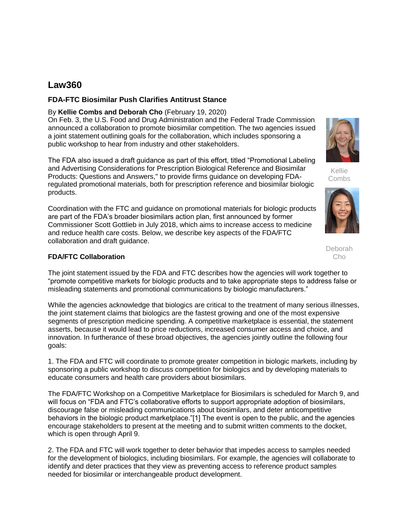# **Law360**

#### **FDA-FTC Biosimilar Push Clarifies Antitrust Stance**

#### By **Kellie Combs and Deborah Cho** (February 19, 2020)

On Feb. 3, the [U.S. Food and Drug Administration](https://www.law360.com/agencies/food-and-drug-administration) and the [Federal Trade Commission](https://www.law360.com/agencies/federal-trade-commission) announced a collaboration to promote biosimilar competition. The two agencies issued a joint statement outlining goals for the collaboration, which includes sponsoring a public workshop to hear from industry and other stakeholders.

The FDA also issued a draft guidance as part of this effort, titled "Promotional Labeling and Advertising Considerations for Prescription Biological Reference and Biosimilar Products: Questions and Answers," to provide firms guidance on developing FDAregulated promotional materials, both for prescription reference and biosimilar biologic products.

Coordination with the FTC and guidance on promotional materials for biologic products are part of the FDA's broader biosimilars action plan, first announced by former Commissioner Scott Gottlieb in July 2018, which aims to increase access to medicine and reduce health care costs. Below, we describe key aspects of the FDA/FTC collaboration and draft guidance.

## **FDA/FTC Collaboration**

The joint statement issued by the FDA and FTC describes how the agencies will work together to "promote competitive markets for biologic products and to take appropriate steps to address false or misleading statements and promotional communications by biologic manufacturers."

While the agencies acknowledge that biologics are critical to the treatment of many serious illnesses, the joint statement claims that biologics are the fastest growing and one of the most expensive segments of prescription medicine spending. A competitive marketplace is essential, the statement asserts, because it would lead to price reductions, increased consumer access and choice, and innovation. In furtherance of these broad objectives, the agencies jointly outline the following four goals:

1. The FDA and FTC will coordinate to promote greater competition in biologic markets, including by sponsoring a public workshop to discuss competition for biologics and by developing materials to educate consumers and health care providers about biosimilars.

The FDA/FTC Workshop on a Competitive Marketplace for Biosimilars is scheduled for March 9, and will focus on "FDA and FTC's collaborative efforts to support appropriate adoption of biosimilars, discourage false or misleading communications about biosimilars, and deter anticompetitive behaviors in the biologic product marketplace."[1] The event is open to the public, and the agencies encourage stakeholders to present at the meeting and to submit written comments to the docket, which is open through April 9.

2. The FDA and FTC will work together to deter behavior that impedes access to samples needed for the development of biologics, including biosimilars. For example, the agencies will collaborate to identify and deter practices that they view as preventing access to reference product samples needed for biosimilar or interchangeable product development.



Kellie **Combs** 



Deborah Cho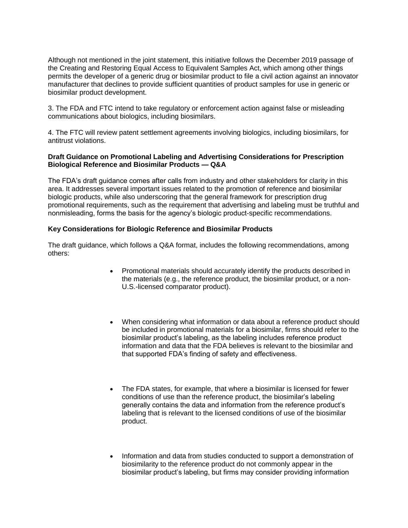Although not mentioned in the joint statement, this initiative follows the December 2019 passage of the Creating and Restoring Equal Access to Equivalent Samples Act, which among other things permits the developer of a generic drug or biosimilar product to file a civil action against an innovator manufacturer that declines to provide sufficient quantities of product samples for use in generic or biosimilar product development.

3. The FDA and FTC intend to take regulatory or enforcement action against false or misleading communications about biologics, including biosimilars.

4. The FTC will review patent settlement agreements involving biologics, including biosimilars, for antitrust violations.

#### **Draft Guidance on Promotional Labeling and Advertising Considerations for Prescription Biological Reference and Biosimilar Products — Q&A**

The FDA's draft guidance comes after calls from industry and other stakeholders for clarity in this area. It addresses several important issues related to the promotion of reference and biosimilar biologic products, while also underscoring that the general framework for prescription drug promotional requirements, such as the requirement that advertising and labeling must be truthful and nonmisleading, forms the basis for the agency's biologic product-specific recommendations.

### **Key Considerations for Biologic Reference and Biosimilar Products**

The draft guidance, which follows a Q&A format, includes the following recommendations, among others:

- Promotional materials should accurately identify the products described in the materials (e.g., the reference product, the biosimilar product, or a non-U.S.-licensed comparator product).
- When considering what information or data about a reference product should be included in promotional materials for a biosimilar, firms should refer to the biosimilar product's labeling, as the labeling includes reference product information and data that the FDA believes is relevant to the biosimilar and that supported FDA's finding of safety and effectiveness.
- The FDA states, for example, that where a biosimilar is licensed for fewer conditions of use than the reference product, the biosimilar's labeling generally contains the data and information from the reference product's labeling that is relevant to the licensed conditions of use of the biosimilar product.
- Information and data from studies conducted to support a demonstration of biosimilarity to the reference product do not commonly appear in the biosimilar product's labeling, but firms may consider providing information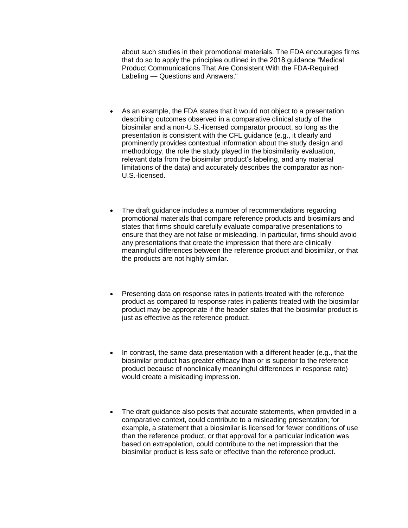about such studies in their promotional materials. The FDA encourages firms that do so to apply the principles outlined in the 2018 guidance "Medical Product Communications That Are Consistent With the FDA-Required Labeling — Questions and Answers."

- As an example, the FDA states that it would not object to a presentation describing outcomes observed in a comparative clinical study of the biosimilar and a non-U.S.-licensed comparator product, so long as the presentation is consistent with the CFL guidance (e.g., it clearly and prominently provides contextual information about the study design and methodology, the role the study played in the biosimilarity evaluation, relevant data from the biosimilar product's labeling, and any material limitations of the data) and accurately describes the comparator as non-U.S.-licensed.
- The draft guidance includes a number of recommendations regarding promotional materials that compare reference products and biosimilars and states that firms should carefully evaluate comparative presentations to ensure that they are not false or misleading. In particular, firms should avoid any presentations that create the impression that there are clinically meaningful differences between the reference product and biosimilar, or that the products are not highly similar.
- Presenting data on response rates in patients treated with the reference product as compared to response rates in patients treated with the biosimilar product may be appropriate if the header states that the biosimilar product is just as effective as the reference product.
- In contrast, the same data presentation with a different header (e.g., that the biosimilar product has greater efficacy than or is superior to the reference product because of nonclinically meaningful differences in response rate) would create a misleading impression.
- The draft guidance also posits that accurate statements, when provided in a comparative context, could contribute to a misleading presentation; for example, a statement that a biosimilar is licensed for fewer conditions of use than the reference product, or that approval for a particular indication was based on extrapolation, could contribute to the net impression that the biosimilar product is less safe or effective than the reference product.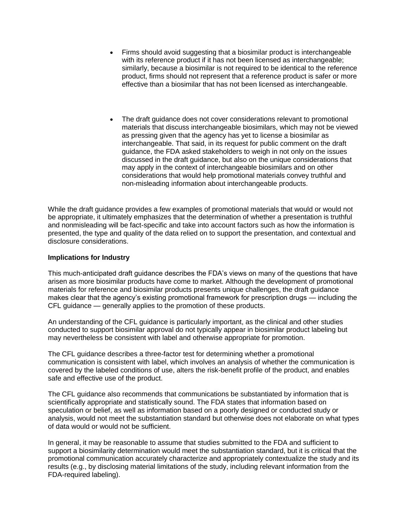- Firms should avoid suggesting that a biosimilar product is interchangeable with its reference product if it has not been licensed as interchangeable: similarly, because a biosimilar is not required to be identical to the reference product, firms should not represent that a reference product is safer or more effective than a biosimilar that has not been licensed as interchangeable.
- The draft guidance does not cover considerations relevant to promotional materials that discuss interchangeable biosimilars, which may not be viewed as pressing given that the agency has yet to license a biosimilar as interchangeable. That said, in its request for public comment on the draft guidance, the FDA asked stakeholders to weigh in not only on the issues discussed in the draft guidance, but also on the unique considerations that may apply in the context of interchangeable biosimilars and on other considerations that would help promotional materials convey truthful and non-misleading information about interchangeable products.

While the draft guidance provides a few examples of promotional materials that would or would not be appropriate, it ultimately emphasizes that the determination of whether a presentation is truthful and nonmisleading will be fact-specific and take into account factors such as how the information is presented, the type and quality of the data relied on to support the presentation, and contextual and disclosure considerations.

#### **Implications for Industry**

This much-anticipated draft guidance describes the FDA's views on many of the questions that have arisen as more biosimilar products have come to market. Although the development of promotional materials for reference and biosimilar products presents unique challenges, the draft guidance makes clear that the agency's existing promotional framework for prescription drugs — including the CFL guidance — generally applies to the promotion of these products.

An understanding of the CFL guidance is particularly important, as the clinical and other studies conducted to support biosimilar approval do not typically appear in biosimilar product labeling but may nevertheless be consistent with label and otherwise appropriate for promotion.

The CFL guidance describes a three-factor test for determining whether a promotional communication is consistent with label, which involves an analysis of whether the communication is covered by the labeled conditions of use, alters the risk-benefit profile of the product, and enables safe and effective use of the product.

The CFL guidance also recommends that communications be substantiated by information that is scientifically appropriate and statistically sound. The FDA states that information based on speculation or belief, as well as information based on a poorly designed or conducted study or analysis, would not meet the substantiation standard but otherwise does not elaborate on what types of data would or would not be sufficient.

In general, it may be reasonable to assume that studies submitted to the FDA and sufficient to support a biosimilarity determination would meet the substantiation standard, but it is critical that the promotional communication accurately characterize and appropriately contextualize the study and its results (e.g., by disclosing material limitations of the study, including relevant information from the FDA-required labeling).